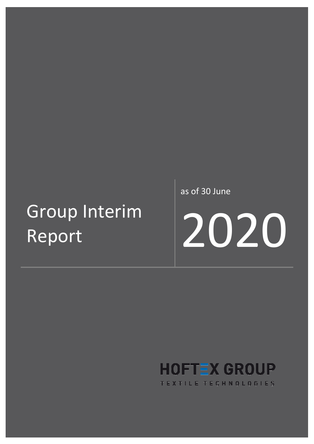# Group Interim Report

as of 30 June



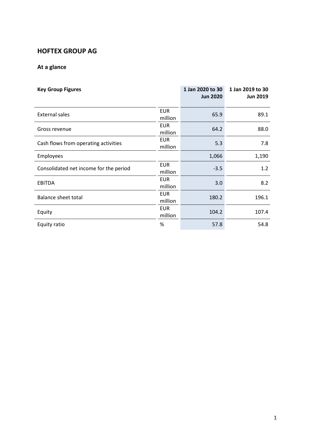## **HOFTEX GROUP AG**

## **At a glance**

| <b>Key Group Figures</b>               |                       | 1 Jan 2020 to 30<br><b>Jun 2020</b> | 1 Jan 2019 to 30<br><b>Jun 2019</b> |
|----------------------------------------|-----------------------|-------------------------------------|-------------------------------------|
| <b>External sales</b>                  | <b>EUR</b><br>million | 65.9                                | 89.1                                |
| Gross revenue                          | <b>EUR</b><br>million | 64.2                                | 88.0                                |
| Cash flows from operating activities   | <b>EUR</b><br>million | 5.3                                 | 7.8                                 |
| Employees                              |                       | 1,066                               | 1,190                               |
| Consolidated net income for the period | <b>EUR</b><br>million | $-3.5$                              | 1.2                                 |
| <b>EBITDA</b>                          | <b>EUR</b><br>million | 3.0                                 | 8.2                                 |
| <b>Balance sheet total</b>             | <b>EUR</b><br>million | 180.2                               | 196.1                               |
| Equity                                 | <b>EUR</b><br>million | 104.2                               | 107.4                               |
| Equity ratio                           | %                     | 57.8                                | 54.8                                |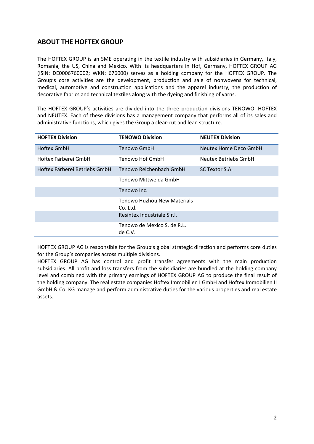## **ABOUT THE HOFTEX GROUP**

The HOFTEX GROUP is an SME operating in the textile industry with subsidiaries in Germany, Italy, Romania, the US, China and Mexico. With its headquarters in Hof, Germany, HOFTEX GROUP AG (ISIN: DE0006760002; WKN: 676000) serves as a holding company for the HOFTEX GROUP. The Group's core activities are the development, production and sale of nonwovens for technical, medical, automotive and construction applications and the apparel industry, the production of decorative fabrics and technical textiles along with the dyeing and finishing of yarns.

The HOFTEX GROUP's activities are divided into the three production divisions TENOWO, HOFTEX and NEUTEX. Each of these divisions has a management company that performs all of its sales and administrative functions, which gives the Group a clear-cut and lean structure.

| <b>HOFTEX Division</b>        | <b>TENOWO Division</b>                  | <b>NEUTEX Division</b> |
|-------------------------------|-----------------------------------------|------------------------|
| <b>Hoftex GmbH</b>            | Tenowo GmbH                             | Neutex Home Deco GmbH  |
| Hoftex Färberei GmbH          | Tenowo Hof GmbH                         | Neutex Betriebs GmbH   |
| Hoftex Färberei Betriebs GmbH | Tenowo Reichenbach GmbH                 | SC Textor S.A.         |
|                               | Tenowo Mittweida GmbH                   |                        |
|                               | Tenowo Inc.                             |                        |
|                               | Tenowo Huzhou New Materials<br>Co. Ltd. |                        |
|                               | Resintex Industriale S.r.l.             |                        |
|                               | Tenowo de Mexico S. de R.L.<br>de C.V.  |                        |

HOFTEX GROUP AG is responsible for the Group's global strategic direction and performs core duties for the Group's companies across multiple divisions.

HOFTEX GROUP AG has control and profit transfer agreements with the main production subsidiaries. All profit and loss transfers from the subsidiaries are bundled at the holding company level and combined with the primary earnings of HOFTEX GROUP AG to produce the final result of the holding company. The real estate companies Hoftex Immobilien I GmbH and Hoftex Immobilien II GmbH & Co. KG manage and perform administrative duties for the various properties and real estate assets.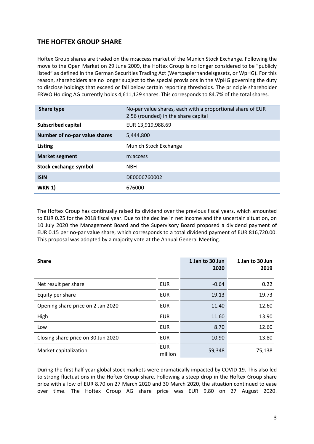## **THE HOFTEX GROUP SHARE**

Hoftex Group shares are traded on the m:access market of the Munich Stock Exchange. Following the move to the Open Market on 29 June 2009, the Hoftex Group is no longer considered to be "publicly listed" as defined in the German Securities Trading Act (Wertpapierhandelsgesetz, or WpHG). For this reason, shareholders are no longer subject to the special provisions in the WpHG governing the duty to disclose holdings that exceed or fall below certain reporting thresholds. The principle shareholder ERWO Holding AG currently holds 4,611,129 shares. This corresponds to 84.7% of the total shares.

| Share type                    | No-par value shares, each with a proportional share of EUR<br>2.56 (rounded) in the share capital |
|-------------------------------|---------------------------------------------------------------------------------------------------|
| <b>Subscribed capital</b>     | EUR 13,919,988.69                                                                                 |
| Number of no-par value shares | 5,444,800                                                                                         |
| <b>Listing</b>                | Munich Stock Exchange                                                                             |
| <b>Market segment</b>         | m:access                                                                                          |
| Stock exchange symbol         | <b>NBH</b>                                                                                        |
| <b>ISIN</b>                   | DE0006760002                                                                                      |
| <b>WKN 1)</b>                 | 676000                                                                                            |

The Hoftex Group has continually raised its dividend over the previous fiscal years, which amounted to EUR 0.25 for the 2018 fiscal year. Due to the decline in net income and the uncertain situation, on 10 July 2020 the Management Board and the Supervisory Board proposed a dividend payment of EUR 0.15 per no-par value share, which corresponds to a total dividend payment of EUR 816,720.00. This proposal was adopted by a majority vote at the Annual General Meeting.

| <b>Share</b>                       |                       | 1 Jan to 30 Jun<br>2020 | 1 Jan to 30 Jun<br>2019 |
|------------------------------------|-----------------------|-------------------------|-------------------------|
| Net result per share               | EUR                   | $-0.64$                 | 0.22                    |
| Equity per share                   | <b>EUR</b>            | 19.13                   | 19.73                   |
| Opening share price on 2 Jan 2020  | EUR                   | 11.40                   | 12.60                   |
| High                               | <b>EUR</b>            | 11.60                   | 13.90                   |
| Low                                | EUR                   | 8.70                    | 12.60                   |
| Closing share price on 30 Jun 2020 | EUR                   | 10.90                   | 13.80                   |
| Market capitalization              | <b>EUR</b><br>million | 59,348                  | 75,138                  |

During the first half year global stock markets were dramatically impacted by COVID-19. This also led to strong fluctuations in the Hoftex Group share. Following a steep drop in the Hoftex Group share price with a low of EUR 8.70 on 27 March 2020 and 30 March 2020, the situation continued to ease over time. The Hoftex Group AG share price was EUR 9.80 on 27 August 2020.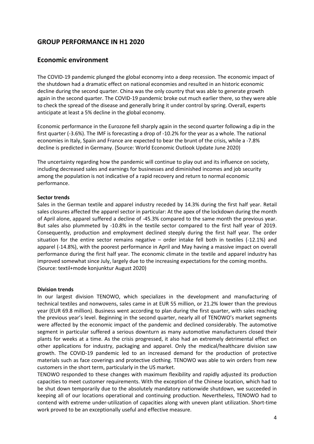## **GROUP PERFORMANCE IN H1 2020**

### **Economic environment**

The COVID-19 pandemic plunged the global economy into a deep recession. The economic impact of the shutdown had a dramatic effect on national economies and resulted in an historic economic decline during the second quarter. China was the only country that was able to generate growth again in the second quarter. The COVID-19 pandemic broke out much earlier there, so they were able to check the spread of the disease and generally bring it under control by spring. Overall, experts anticipate at least a 5% decline in the global economy.

Economic performance in the Eurozone fell sharply again in the second quarter following a dip in the first quarter (-3.6%). The IMF is forecasting a drop of -10.2% for the year as a whole. The national economies in Italy, Spain and France are expected to bear the brunt of the crisis, while a -7.8% decline is predicted in Germany. (Source: World Economic Outlook Update June 2020)

The uncertainty regarding how the pandemic will continue to play out and its influence on society, including decreased sales and earnings for businesses and diminished incomes and job security among the population is not indicative of a rapid recovery and return to normal economic performance.

#### **Sector trends**

Sales in the German textile and apparel industry receded by 14.3% during the first half year. Retail sales closures affected the apparel sector in particular: At the apex of the lockdown during the month of April alone, apparel suffered a decline of -45.3% compared to the same month the previous year. But sales also plummeted by -10.8% in the textile sector compared to the first half year of 2019. Consequently, production and employment declined steeply during the first half year. The order situation for the entire sector remains negative – order intake fell both in textiles (-12.1%) and apparel (-14.8%), with the poorest performance in April and May having a massive impact on overall performance during the first half year. The economic climate in the textile and apparel industry has improved somewhat since July, largely due to the increasing expectations for the coming months. (Source: textil+mode konjunktur August 2020)

#### **Division trends**

In our largest division TENOWO, which specializes in the development and manufacturing of technical textiles and nonwovens, sales came in at EUR 55 million, or 21.2% lower than the previous year (EUR 69.8 million). Business went according to plan during the first quarter, with sales reaching the previous year's level. Beginning in the second quarter, nearly all of TENOWO's market segments were affected by the economic impact of the pandemic and declined considerably. The automotive segment in particular suffered a serious downturn as many automotive manufacturers closed their plants for weeks at a time. As the crisis progressed, it also had an extremely detrimental effect on other applications for industry, packaging and apparel. Only the medical/healthcare division saw growth. The COVID-19 pandemic led to an increased demand for the production of protective materials such as face coverings and protective clothing. TENOWO was able to win orders from new customers in the short term, particularly in the US market.

TENOWO responded to these changes with maximum flexibility and rapidly adjusted its production capacities to meet customer requirements. With the exception of the Chinese location, which had to be shut down temporarily due to the absolutely mandatory nationwide shutdown, we succeeded in keeping all of our locations operational and continuing production. Nevertheless, TENOWO had to contend with extreme under-utilization of capacities along with uneven plant utilization. Short-time work proved to be an exceptionally useful and effective measure.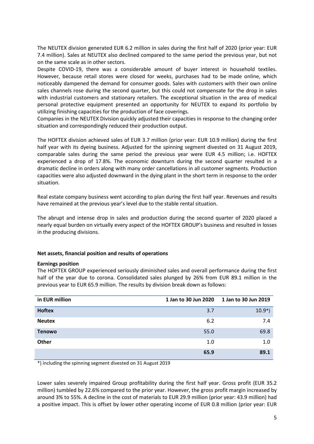The NEUTEX division generated EUR 6.2 million in sales during the first half of 2020 (prior year: EUR 7.4 million). Sales at NEUTEX also declined compared to the same period the previous year, but not on the same scale as in other sectors.

Despite COVID-19, there was a considerable amount of buyer interest in household textiles. However, because retail stores were closed for weeks, purchases had to be made online, which noticeably dampened the demand for consumer goods. Sales with customers with their own online sales channels rose during the second quarter, but this could not compensate for the drop in sales with industrial customers and stationary retailers. The exceptional situation in the area of medical personal protective equipment presented an opportunity for NEUTEX to expand its portfolio by utilizing finishing capacities for the production of face coverings.

Companies in the NEUTEX Division quickly adjusted their capacities in response to the changing order situation and correspondingly reduced their production output.

The HOFTEX division achieved sales of EUR 3.7 million (prior year: EUR 10.9 million) during the first half year with its dyeing business. Adjusted for the spinning segment divested on 31 August 2019, comparable sales during the same period the previous year were EUR 4.5 million; i.e. HOFTEX experienced a drop of 17.8%. The economic downturn during the second quarter resulted in a dramatic decline in orders along with many order cancellations in all customer segments. Production capacities were also adjusted downward in the dying plant in the short term in response to the order situation.

Real estate company business went according to plan during the first half year. Revenues and results have remained at the previous year's level due to the stable rental situation.

The abrupt and intense drop in sales and production during the second quarter of 2020 placed a nearly equal burden on virtually every aspect of the HOFTEX GROUP's business and resulted in losses in the producing divisions.

#### **Net assets, financial position and results of operations**

#### **Earnings position**

The HOFTEX GROUP experienced seriously diminished sales and overall performance during the first half of the year due to corona. Consolidated sales plunged by 26% from EUR 89.1 million in the previous year to EUR 65.9 million. The results by division break down as follows:

| in EUR million | 1 Jan to 30 Jun 2020 | 1 Jan to 30 Jun 2019 |
|----------------|----------------------|----------------------|
| <b>Hoftex</b>  | 3.7                  | $10.9*)$             |
| <b>Neutex</b>  | 6.2                  | 7.4                  |
| <b>Tenowo</b>  | 55.0                 | 69.8                 |
| Other          | 1.0                  | 1.0                  |
|                | 65.9                 | 89.1                 |

\*) including the spinning segment divested on 31 August 2019

Lower sales severely impaired Group profitability during the first half year. Gross profit (EUR 35.2 million) tumbled by 22.6% compared to the prior year. However, the gross profit margin increased by around 3% to 55%. A decline in the cost of materials to EUR 29.9 million (prior year: 43.9 million) had a positive impact. This is offset by lower other operating income of EUR 0.8 million (prior year: EUR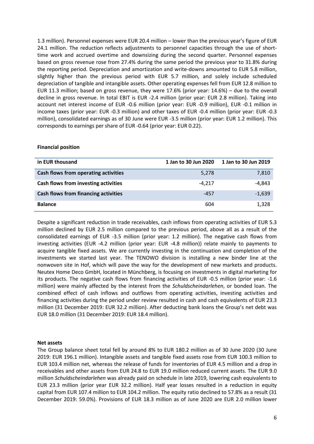1.3 million). Personnel expenses were EUR 20.4 million – lower than the previous year's figure of EUR 24.1 million. The reduction reflects adjustments to personnel capacities through the use of shorttime work and accrued overtime and downsizing during the second quarter. Personnel expenses based on gross revenue rose from 27.4% during the same period the previous year to 31.8% during the reporting period. Depreciation and amortization and write-downs amounted to EUR 5.8 million, slightly higher than the previous period with EUR 5.7 million, and solely include scheduled depreciation of tangible and intangible assets. Other operating expenses fell from EUR 12.8 million to EUR 11.3 million; based on gross revenue, they were 17.6% (prior year: 14.6%) – due to the overall decline in gross revenue. In total EBIT is EUR -2.4 million (prior year: EUR 2.8 million). Taking into account net interest income of EUR -0.6 million (prior year: EUR -0.9 million), EUR -0.1 million in income taxes (prior year: EUR -0.3 million) and other taxes of EUR -0.4 million (prior year: EUR -0.3 million), consolidated earnings as of 30 June were EUR -3.5 million (prior year: EUR 1.2 million). This corresponds to earnings per share of EUR -0.64 (prior year: EUR 0.22).

#### **Financial position**

| in EUR thousand                             | 1 Jan to 30 Jun 2020 | 1 Jan to 30 Jun 2019 |
|---------------------------------------------|----------------------|----------------------|
| Cash flows from operating activities        | 5,278                | 7,810                |
| Cash flows from investing activities        | $-4.217$             | -4,843               |
| <b>Cash flows from financing activities</b> | $-457$               | $-1,639$             |
| <b>Balance</b>                              | 604                  | 1,328                |

Despite a significant reduction in trade receivables, cash inflows from operating activities of EUR 5.3 million declined by EUR 2.5 million compared to the previous period, above all as a result of the consolidated earnings of EUR -3.5 million (prior year: 1.2 million). The negative cash flows from investing activities (EUR -4.2 million (prior year: EUR -4.8 million)) relate mainly to payments to acquire tangible fixed assets. We are currently investing in the continuation and completion of the investments we started last year. The TENOWO division is installing a new binder line at the nonwoven site in Hof, which will pave the way for the development of new markets and products. Neutex Home Deco GmbH, located in Münchberg, is focusing on investments in digital marketing for its products. The negative cash flows from financing activities of EUR -0.5 million (prior year: -1.6 million) were mainly affected by the interest from the *Schuldscheindarlehen*, or bonded loan. The combined effect of cash inflows and outflows from operating activities, investing activities and financing activities during the period under review resulted in cash and cash equivalents of EUR 23.3 million (31 December 2019: EUR 32.2 million). After deducting bank loans the Group's net debt was EUR 18.0 million (31 December 2019: EUR 18.4 million).

#### **Net assets**

The Group balance sheet total fell by around 8% to EUR 180.2 million as of 30 June 2020 (30 June 2019: EUR 196.1 million). Intangible assets and tangible fixed assets rose from EUR 100.3 million to EUR 103.4 million net, whereas the release of funds for inventories of EUR 4.5 million and a drop in receivables and other assets from EUR 24.8 to EUR 19.0 million reduced current assets. The EUR 9.0 million *Schuldscheindarlehen* was already paid on schedule in late 2019, lowering cash equivalents to EUR 23.3 million (prior year EUR 32.2 million). Half year losses resulted in a reduction in equity capital from EUR 107.4 million to EUR 104.2 million. The equity ratio declined to 57.8% as a result (31 December 2019: 59.0%). Provisions of EUR 18.3 million as of June 2020 are EUR 2.0 million lower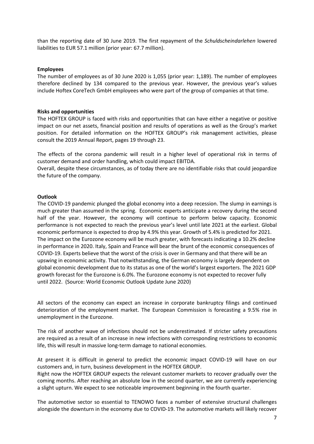than the reporting date of 30 June 2019. The first repayment of the *Schuldscheindarlehen* lowered liabilities to EUR 57.1 million (prior year: 67.7 million).

#### **Employees**

The number of employees as of 30 June 2020 is 1,055 (prior year: 1,189). The number of employees therefore declined by 134 compared to the previous year. However, the previous year's values include Hoftex CoreTech GmbH employees who were part of the group of companies at that time.

#### **Risks and opportunities**

The HOFTEX GROUP is faced with risks and opportunities that can have either a negative or positive impact on our net assets, financial position and results of operations as well as the Group's market position. For detailed information on the HOFTEX GROUP's risk management activities, please consult the 2019 Annual Report, pages 19 through 23.

The effects of the corona pandemic will result in a higher level of operational risk in terms of customer demand and order handling, which could impact EBITDA.

Overall, despite these circumstances, as of today there are no identifiable risks that could jeopardize the future of the company.

#### **Outlook**

The COVID-19 pandemic plunged the global economy into a deep recession. The slump in earnings is much greater than assumed in the spring. Economic experts anticipate a recovery during the second half of the year. However, the economy will continue to perform below capacity. Economic performance is not expected to reach the previous year's level until late 2021 at the earliest. Global economic performance is expected to drop by 4.9% this year. Growth of 5.4% is predicted for 2021. The impact on the Eurozone economy will be much greater, with forecasts indicating a 10.2% decline in performance in 2020. Italy, Spain and France will bear the brunt of the economic consequences of COVID-19. Experts believe that the worst of the crisis is over in Germany and that there will be an upswing in economic activity. That notwithstanding, the German economy is largely dependent on global economic development due to its status as one of the world's largest exporters. The 2021 GDP growth forecast for the Eurozone is 6.0%. The Eurozone economy is not expected to recover fully until 2022. (Source: World Economic Outlook Update June 2020)

All sectors of the economy can expect an increase in corporate bankruptcy filings and continued deterioration of the employment market. The European Commission is forecasting a 9.5% rise in unemployment in the Eurozone.

The risk of another wave of infections should not be underestimated. If stricter safety precautions are required as a result of an increase in new infections with corresponding restrictions to economic life, this will result in massive long-term damage to national economies.

At present it is difficult in general to predict the economic impact COVID-19 will have on our customers and, in turn, business development in the HOFTEX GROUP.

Right now the HOFTEX GROUP expects the relevant customer markets to recover gradually over the coming months. After reaching an absolute low in the second quarter, we are currently experiencing a slight upturn. We expect to see noticeable improvement beginning in the fourth quarter.

The automotive sector so essential to TENOWO faces a number of extensive structural challenges alongside the downturn in the economy due to COVID-19. The automotive markets will likely recover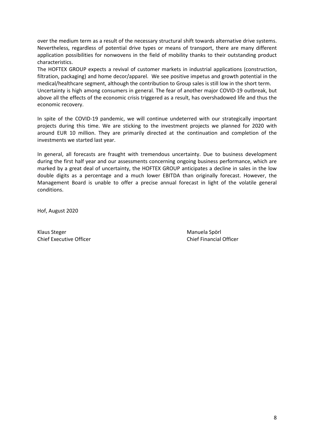over the medium term as a result of the necessary structural shift towards alternative drive systems. Nevertheless, regardless of potential drive types or means of transport, there are many different application possibilities for nonwovens in the field of mobility thanks to their outstanding product characteristics.

The HOFTEX GROUP expects a revival of customer markets in industrial applications (construction, filtration, packaging) and home decor/apparel. We see positive impetus and growth potential in the medical/healthcare segment, although the contribution to Group sales is still low in the short term.

Uncertainty is high among consumers in general. The fear of another major COVID-19 outbreak, but above all the effects of the economic crisis triggered as a result, has overshadowed life and thus the economic recovery.

In spite of the COVID-19 pandemic, we will continue undeterred with our strategically important projects during this time. We are sticking to the investment projects we planned for 2020 with around EUR 10 million. They are primarily directed at the continuation and completion of the investments we started last year.

In general, all forecasts are fraught with tremendous uncertainty. Due to business development during the first half year and our assessments concerning ongoing business performance, which are marked by a great deal of uncertainty, the HOFTEX GROUP anticipates a decline in sales in the low double digits as a percentage and a much lower EBITDA than originally forecast. However, the Management Board is unable to offer a precise annual forecast in light of the volatile general conditions.

Hof, August 2020

Klaus Steger Manuela Spörl Manuela Spörl Manuela Spörl Manuela Spörl Manuela Spörl Manuela Spörl Manuela Spörl Chief Executive Officer Chief Financial Officer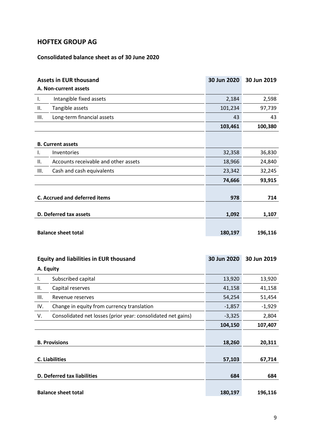## **HOFTEX GROUP AG**

## **Consolidated balance sheet as of 30 June 2020**

|      | <b>Assets in EUR thousand</b>        | 30 Jun 2020 | 30 Jun 2019 |
|------|--------------------------------------|-------------|-------------|
|      | A. Non-current assets                |             |             |
| I.   | Intangible fixed assets              | 2,184       | 2,598       |
| ΙΙ.  | Tangible assets                      | 101,234     | 97,739      |
| III. | Long-term financial assets           | 43          | 43          |
|      |                                      | 103,461     | 100,380     |
|      |                                      |             |             |
|      | <b>B. Current assets</b>             |             |             |
| Ι.   | Inventories                          | 32,358      | 36,830      |
| Ш.   | Accounts receivable and other assets | 18,966      | 24,840      |
| III. | Cash and cash equivalents            | 23,342      | 32,245      |
|      |                                      | 74,666      | 93,915      |
|      |                                      |             |             |
|      | <b>C. Accrued and deferred items</b> | 978         | 714         |
|      |                                      |             |             |
|      | D. Deferred tax assets               | 1,092       | 1,107       |
|      |                                      |             |             |
|      | <b>Balance sheet total</b>           | 180,197     | 196,116     |

|                            | <b>Equity and liabilities in EUR thousand</b>                | 30 Jun 2020 | 30 Jun 2019 |
|----------------------------|--------------------------------------------------------------|-------------|-------------|
| A. Equity                  |                                                              |             |             |
| Ι.                         | Subscribed capital                                           | 13,920      | 13,920      |
| Н.                         | Capital reserves                                             | 41,158      | 41,158      |
| Ш.                         | Revenue reserves                                             | 54,254      | 51,454      |
| IV.                        | Change in equity from currency translation                   | $-1,857$    | $-1,929$    |
| V.                         | Consolidated net losses (prior year: consolidated net gains) | $-3,325$    | 2,804       |
|                            |                                                              | 104,150     | 107,407     |
|                            |                                                              |             |             |
|                            | <b>B. Provisions</b>                                         | 18,260      | 20,311      |
|                            |                                                              |             |             |
|                            | <b>C. Liabilities</b>                                        | 57,103      | 67,714      |
|                            |                                                              |             |             |
|                            | <b>D. Deferred tax liabilities</b>                           | 684         | 684         |
|                            |                                                              |             |             |
| <b>Balance sheet total</b> |                                                              | 180,197     | 196,116     |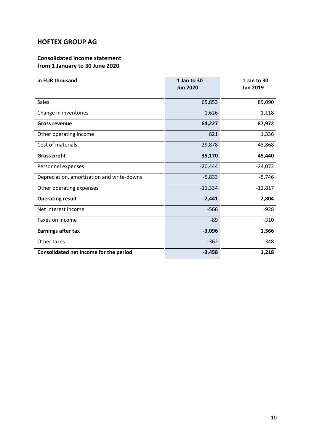## **HOFTEX GROUP AG**

## **Consolidated income statement from 1 January to 30 June 2020**

| in EUR thousand                            | 1 Jan to 30<br><b>Jun 2020</b> | 1 Jan to 30<br><b>Jun 2019</b> |
|--------------------------------------------|--------------------------------|--------------------------------|
| <b>Sales</b>                               | 65,853                         | 89,090                         |
| Change in inventories                      | $-1,626$                       | $-1,118$                       |
| <b>Gross revenue</b>                       | 64,227                         | 87,972                         |
| Other operating income                     | 821                            | 1,336                          |
| Cost of materials                          | $-29,878$                      | $-43,868$                      |
| <b>Gross profit</b>                        | 35,170                         | 45,440                         |
| Personnel expenses                         | $-20,444$                      | $-24,073$                      |
| Depreciation, amortization and write-downs | $-5,833$                       | $-5,746$                       |
| Other operating expenses                   | $-11,334$                      | $-12,817$                      |
| <b>Operating result</b>                    | $-2,441$                       | 2,804                          |
| Net interest income                        | $-566$                         | $-928$                         |
| Taxes on income                            | $-89$                          | $-310$                         |
| <b>Earnings after tax</b>                  | $-3,096$                       | 1,566                          |
| Other taxes                                | $-362$                         | $-348$                         |
| Consolidated net income for the period     | $-3,458$                       | 1,218                          |